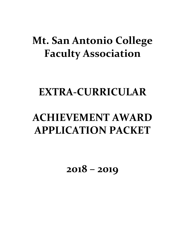# **Mt. San Antonio College Faculty Association**

## **EXTRA-CURRICULAR**

# **ACHIEVEMENT AWARD APPLICATION PACKET**

**2018 – 2019**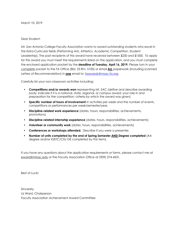#### Dear Student:

Mt. San Antonio College Faculty Association wants to award outstanding students who excel in the Extra-Curricular fields (Performing Arts, Athletics, Academic Competition, Student Leadership). The past recipients of this award have received between \$250 and \$1500. To apply for this award you must meet the requirements listed on the application, and you must complete the enclosed application packet by the **deadline of Tuesday, April 16, 2019.** Please turn in your complete packet to the FA Office (Bld. 23 Rm. 5100) or email **ALL** paperwork (including scanned Letters of Recommendation) in **one** email to: [faawards@msac-fa.org](mailto:faawards@msac-fa.org).

Carefully list your non-classroom activities including:

- **Competitions and/or awards won** representing Mt. SAC (define and describe awarding body; indicate if it is a national, state, regional, or campus award; your role in and preparation for the competition; criteria by which the award was given)
- **Specific number of hours of involvement** in activities per week and the number of events, competitions or performances per week/semester/year.
- **Discipline-related work experience** (dates, hours, responsibilities, achievements, promotions)
- **Discipline-related internship experience** (dates, hours, responsibilities, achievements)
- **Volunteer or community work** (dates, hours, responsibilities, achievements)
- **Conferences or workshops attended.** Describe if you were a presenter.
- **Number of units completed by the end of Spring Semester AND Degree completed** (AA degree and/or IGETC/CSU GE completed by this term).

If you have any questions about the application requirements or forms, please contact me at [eward@mtsac.edu](mailto:eward@mtsac.edu) or the Faculty Association Office at (909) 274-4531.

Best of Luck!

Sincerely, Liz Ward, Chairperson Faculty Association Achievement Award Committee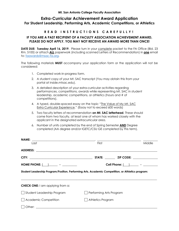## **Extra-Curricular Achievement Award Application For Student Leadership, Performing Arts, Academic Competitions, or Athletics**

### **R E A D I N S T R U C T I O N S C A R E F U L L Y !**

#### **IF YOU ARE A PAST RECIPIENT OF A FACULTY ASSOCIATION ACHIEVEMENT AWARD, PLEASE DO NOT APPLY. YOU MAY NOT RECEIVE AN AWARD MORE THAN ONCE!**

**DATE DUE: Tuesday April 16, 2019.** Please turn in your **complete** packet to the FA Office (Bld. 23 Rm. 5100) or attach **ALL** paperwork (including scanned Letters of Recommendation) in **one** email to: [faawards@msac-fa.org.](mailto:faawards@msac-fa.org)

The following materials **MUST** accompany your application form or the application will not be considered:

- 1. Completed work-in-progress form.
- 2. A student copy of your Mt. SAC transcript (You may obtain this from your portal at [inside.mtsac.edu\)](http:inside.mtsac.edu).
- 3. A detailed description of your extra-curricular activities regarding performances, competitions, awards while representing Mt. SAC in student leadership, academic competitions, or athletics (hours and # of competitions).
- 4. A typed, double-spaced essay on the topic "The Value of My Mt. SAC Extra Curricular Experience." (Essay not to exceed 600 words)
- 5. Two faculty letters of recommendation **on Mt. SAC letterhead**. These should come from two faculty, at least one of whom has worked closely with the applicant in the designated extracurricular area.
- 6. Number of units completed by the end of Spring Semester **AND** Degree completed (AA degree and/or IGETC/CSU GE completed by this term).

| First                                                                                             | Middle |  |  |  |  |  |  |  |
|---------------------------------------------------------------------------------------------------|--------|--|--|--|--|--|--|--|
|                                                                                                   |        |  |  |  |  |  |  |  |
|                                                                                                   |        |  |  |  |  |  |  |  |
| Cell Phone: $\begin{array}{ c c c c }\n\hline\n-\end{array}$ - _______                            |        |  |  |  |  |  |  |  |
| Student Leadership Program/Position, Performing Arts, Academic Competition, or Athletics program: |        |  |  |  |  |  |  |  |
|                                                                                                   |        |  |  |  |  |  |  |  |
|                                                                                                   |        |  |  |  |  |  |  |  |
| Performing Arts Program                                                                           |        |  |  |  |  |  |  |  |
|                                                                                                   |        |  |  |  |  |  |  |  |
| Athletics Program                                                                                 |        |  |  |  |  |  |  |  |
|                                                                                                   |        |  |  |  |  |  |  |  |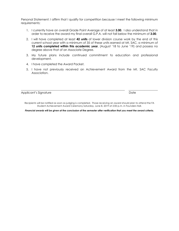Personal Statement: I affirm that I qualify for competition because I meet the following minimum requirements:

- 1. I currently have an overall Grade Point Average of at least **3.00**. I also understand that in order to receive the award my final overall G.P.A. will not fall below the minimum of **3.00**.
- 2. I will have completed at least **42 units** of lower division course work by the end of this current school year with a minimum of 35 of these units earned at Mt. SAC, a minimum of 12 units completed within this academic year, (August '18 to June '19) and possess no degree above that of an Associate Degree.
- 3. My future plans include continued commitment to education and professional development.
- 4. I have completed the Award Packet.
- 5. I have not previously received an Achievement Award from the Mt. SAC Faculty Association.

Applicant's Signature **Date** 

Recipients will be notified as soon as judging is completed. Those receiving an award should plan to attend the FA Student Achievement Award Ceremony Saturday, June 8, 2019 at 2:00 p.m. in Founders Hall.

\_\_\_\_\_\_\_\_\_\_\_\_\_\_\_\_\_\_\_\_\_\_\_\_\_\_\_\_\_\_\_\_\_\_\_\_\_\_\_\_\_\_\_\_\_\_\_\_\_\_\_\_\_\_\_\_\_\_\_\_\_\_\_\_\_\_\_\_\_\_\_ \_\_\_\_\_\_\_\_\_\_\_\_\_\_\_\_\_\_\_\_

*Financial awards will be given at the conclusion of the semester after verification that you meet the award criteria.*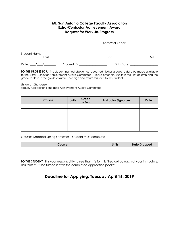### **Mt. San Antonio College Faculty Association Extra-Curricular Achievement Award Request for Work-In-Progress**

|                         |             | Semester / Year: 1988 1999 |      |  |
|-------------------------|-------------|----------------------------|------|--|
| Student Name: _<br>Last |             | First                      | M.I. |  |
|                         |             |                            |      |  |
| Date:                   | Student ID: | Birth Date:                |      |  |

**TO THE PROFESSOR:** The student named above has requested his/her grades to date be made available to the Extra-Curricular Achievement Award Committee. Please enter class units in the unit column and the grade to date in the grade column. Then sign and return this form to the student.

Liz Ward, Chairperson

Faculty Association Scholastic Achievement Award Committee

| Course | <b>Units</b> | Grade<br>to Date | <b>Instructor Signature</b> | <b>Date</b> |
|--------|--------------|------------------|-----------------------------|-------------|
|        |              |                  |                             |             |
|        |              |                  |                             |             |
|        |              |                  |                             |             |
|        |              |                  |                             |             |
|        |              |                  |                             |             |
|        |              |                  |                             |             |

Courses Dropped Spring Semester – Student must complete

| Course | <b>Units</b> | <b>Date Dropped</b> |
|--------|--------------|---------------------|
|        |              |                     |
|        |              |                     |

**TO THE STUDENT:** It is your responsibility to see that this form is filled out by each of your instructors. This form must be turned in with the completed application packet.

## **Deadline for Applying: Tuesday April 16, 2019**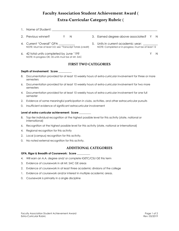## **Faculty Association Student Achievement Award** ( **Extra-Curricular Category Rubric** (

- 1. Name of Student: \_\_\_\_\_\_\_\_\_\_\_\_\_\_\_\_\_\_\_\_\_\_\_\_\_\_\_\_\_\_\_\_\_\_\_\_\_\_\_\_\_\_\_\_\_\_\_\_\_\_\_\_\_\_\_\_\_\_\_\_\_\_\_\_\_\_\_\_\_\_\_\_
- 
- 4. Current "Overall" GPA  $\overline{a}$  5. Units in current academic year:

NOTE: In-progress OK; 35 units must be at Mt. SAC

- 2. Previous winner?  $Y \quad N$  3. Earned degree above associates? Y N
	- NOTE: Must be at least 3.0; see "Transcript Totals (credit) NOTE: Completed or in-progress; must be at least 12

6. 42 total units completed by June '19? Y N

### **FIRST TWO CATEGORIES**

#### **Depth of Involvement: Score \_\_\_\_\_\_\_\_\_\_**

- 8. Documentation provided for at least 10 weekly hours of extra-curricular involvement for three or more semesters
- 6. Documentation provided for at least 10 weekly hours of extra-curricular involvement for two more semesters
- 4. Documentation provided for at least 10 weekly hours of extra-curricular involvement for one full semester
- 2. Evidence of some meaningful participation in clubs, activities, and other extracurricular pursuits
- 0. Insufficient evidence of significant extracurricular involvement

#### **Level of extra-curricular achievement: Score \_\_\_\_\_\_\_\_\_**

- 8. Top-tier individual recognition at the highest possible level for this activity (state, national or international)
- 6. Recognition at the highest possible level for this activity (state, national or international)
- 4. Regional recognition for this activity
- 2. Local (campus) recognition for this activity.
- 0. No noted external recognition for this activity.

#### **ADDITIONAL CATEGORIES**

#### **GPA, Rigor & Breadth of Coursework: Score \_\_\_\_\_\_\_\_\_\_**

- 4. Will earn an A.A. degree and/ or complete IGETC/CSU GE this term
- 3. Evidence of coursework in all Mt. SAC GE areas
- 2. Evidence of coursework in at least three academic divisions of the college
- 1. Evidence of coursework and/or interest in multiple academic areas.
- 0. Coursework is primarily in a single discipline